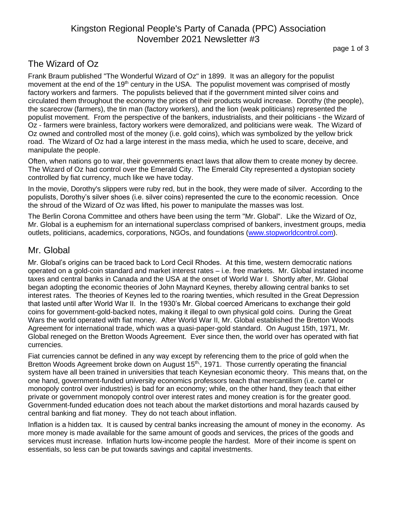# Kingston Regional People's Party of Canada (PPC) Association November 2021 Newsletter #3

### The Wizard of Oz

Frank Braum published "The Wonderful Wizard of Oz" in 1899. It was an allegory for the populist movement at the end of the 19<sup>th</sup> century in the USA. The populist movement was comprised of mostly factory workers and farmers. The populists believed that if the government minted silver coins and circulated them throughout the economy the prices of their products would increase. Dorothy (the people), the scarecrow (farmers), the tin man (factory workers), and the lion (weak politicians) represented the populist movement. From the perspective of the bankers, industrialists, and their politicians - the Wizard of Oz - farmers were brainless, factory workers were demoralized, and politicians were weak. The Wizard of Oz owned and controlled most of the money (i.e. gold coins), which was symbolized by the yellow brick road. The Wizard of Oz had a large interest in the mass media, which he used to scare, deceive, and manipulate the people.

Often, when nations go to war, their governments enact laws that allow them to create money by decree. The Wizard of Oz had control over the Emerald City. The Emerald City represented a dystopian society controlled by fiat currency, much like we have today.

In the movie, Dorothy's slippers were ruby red, but in the book, they were made of silver. According to the populists, Dorothy's silver shoes (i.e. silver coins) represented the cure to the economic recession. Once the shroud of the Wizard of Oz was lifted, his power to manipulate the masses was lost.

The Berlin Corona Committee and others have been using the term "Mr. Global". Like the Wizard of Oz, Mr. Global is a euphemism for an international superclass comprised of bankers, investment groups, media outlets, politicians, academics, corporations, NGOs, and foundations [\(www.stopworldcontrol.com\)](http://www.stopworldcontrol.com/).

#### Mr. Global

Mr. Global's origins can be traced back to Lord Cecil Rhodes. At this time, western democratic nations operated on a gold-coin standard and market interest rates – i.e. free markets. Mr. Global instated income taxes and central banks in Canada and the USA at the onset of World War I. Shortly after, Mr. Global began adopting the economic theories of John Maynard Keynes, thereby allowing central banks to set interest rates. The theories of Keynes led to the roaring twenties, which resulted in the Great Depression that lasted until after World War II. In the 1930's Mr. Global coerced Americans to exchange their gold coins for government-gold-backed notes, making it illegal to own physical gold coins. During the Great Wars the world operated with fiat money. After World War II, Mr. Global established the Bretton Woods Agreement for international trade, which was a quasi-paper-gold standard. On August 15th, 1971, Mr. Global reneged on the Bretton Woods Agreement. Ever since then, the world over has operated with fiat currencies.

Fiat currencies cannot be defined in any way except by referencing them to the price of gold when the Bretton Woods Agreement broke down on August 15<sup>th</sup>, 1971. Those currently operating the financial system have all been trained in universities that teach Keynesian economic theory. This means that, on the one hand, government-funded university economics professors teach that mercantilism (i.e. cartel or monopoly control over industries) is bad for an economy; while, on the other hand, they teach that either private or government monopoly control over interest rates and money creation is for the greater good. Government-funded education does not teach about the market distortions and moral hazards caused by central banking and fiat money. They do not teach about inflation.

Inflation is a hidden tax. It is caused by central banks increasing the amount of money in the economy. As more money is made available for the same amount of goods and services, the prices of the goods and services must increase. Inflation hurts low-income people the hardest. More of their income is spent on essentials, so less can be put towards savings and capital investments.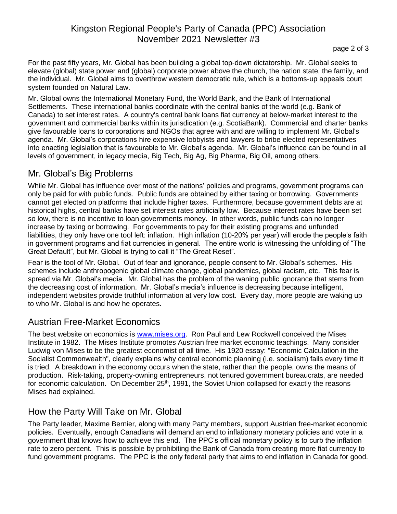# Kingston Regional People's Party of Canada (PPC) Association November 2021 Newsletter #3

page 2 of 3

For the past fifty years, Mr. Global has been building a global top-down dictatorship. Mr. Global seeks to elevate (global) state power and (global) corporate power above the church, the nation state, the family, and the individual. Mr. Global aims to overthrow western democratic rule, which is a bottoms-up appeals court system founded on Natural Law.

Mr. Global owns the International Monetary Fund, the World Bank, and the Bank of International Settlements. These international banks coordinate with the central banks of the world (e.g. Bank of Canada) to set interest rates. A country's central bank loans fiat currency at below-market interest to the government and commercial banks within its jurisdication (e.g. ScotiaBank). Commercial and charter banks give favourable loans to corporations and NGOs that agree with and are willing to implement Mr. Global's agenda. Mr. Global's corporations hire expensive lobbyists and lawyers to bribe elected representatives into enacting legislation that is favourable to Mr. Global's agenda. Mr. Global's influence can be found in all levels of government, in legacy media, Big Tech, Big Ag, Big Pharma, Big Oil, among others.

# Mr. Global's Big Problems

While Mr. Global has influence over most of the nations' policies and programs, government programs can only be paid for with public funds. Public funds are obtained by either taxing or borrowing. Governments cannot get elected on platforms that include higher taxes. Furthermore, because government debts are at historical highs, central banks have set interest rates artificially low. Because interest rates have been set so low, there is no incentive to loan governments money. In other words, public funds can no longer increase by taxing or borrowing. For governments to pay for their existing programs and unfunded liabilities, they only have one tool left: inflation. High inflation (10-20% per year) will erode the people's faith in government programs and fiat currencies in general. The entire world is witnessing the unfolding of "The Great Default", but Mr. Global is trying to call it "The Great Reset".

Fear is the tool of Mr. Global. Out of fear and ignorance, people consent to Mr. Global's schemes. His schemes include anthropogenic global climate change, global pandemics, global racism, etc. This fear is spread via Mr. Global's media. Mr. Global has the problem of the waning public ignorance that stems from the decreasing cost of information. Mr. Global's media's influence is decreasing because intelligent, independent websites provide truthful information at very low cost. Every day, more people are waking up to who Mr. Global is and how he operates.

## Austrian Free-Market Economics

The best website on economics is [www.mises.org.](http://www.mises.org/) Ron Paul and Lew Rockwell conceived the Mises Institute in 1982. The Mises Institute promotes Austrian free market economic teachings. Many consider Ludwig von Mises to be the greatest economist of all time. His 1920 essay: "Economic Calculation in the Socialist Commonwealth", clearly explains why central economic planning (i.e. socialism) fails every time it is tried. A breakdown in the economy occurs when the state, rather than the people, owns the means of production. Risk-taking, property-owning entrepreneurs, not tenured government bureaucrats, are needed for economic calculation. On December 25<sup>th</sup>, 1991, the Soviet Union collapsed for exactly the reasons Mises had explained.

## How the Party Will Take on Mr. Global

The Party leader, Maxime Bernier, along with many Party members, support Austrian free-market economic policies. Eventually, enough Canadians will demand an end to inflationary monetary policies and vote in a government that knows how to achieve this end. The PPC's official monetary policy is to curb the inflation rate to zero percent. This is possible by prohibiting the Bank of Canada from creating more fiat currency to fund government programs. The PPC is the only federal party that aims to end inflation in Canada for good.